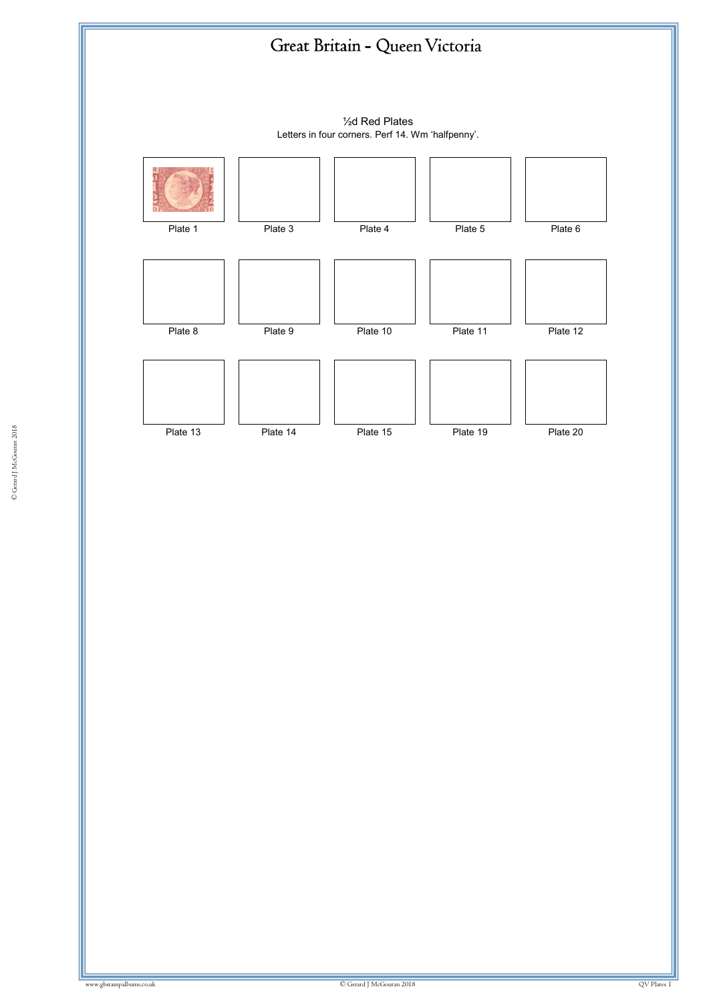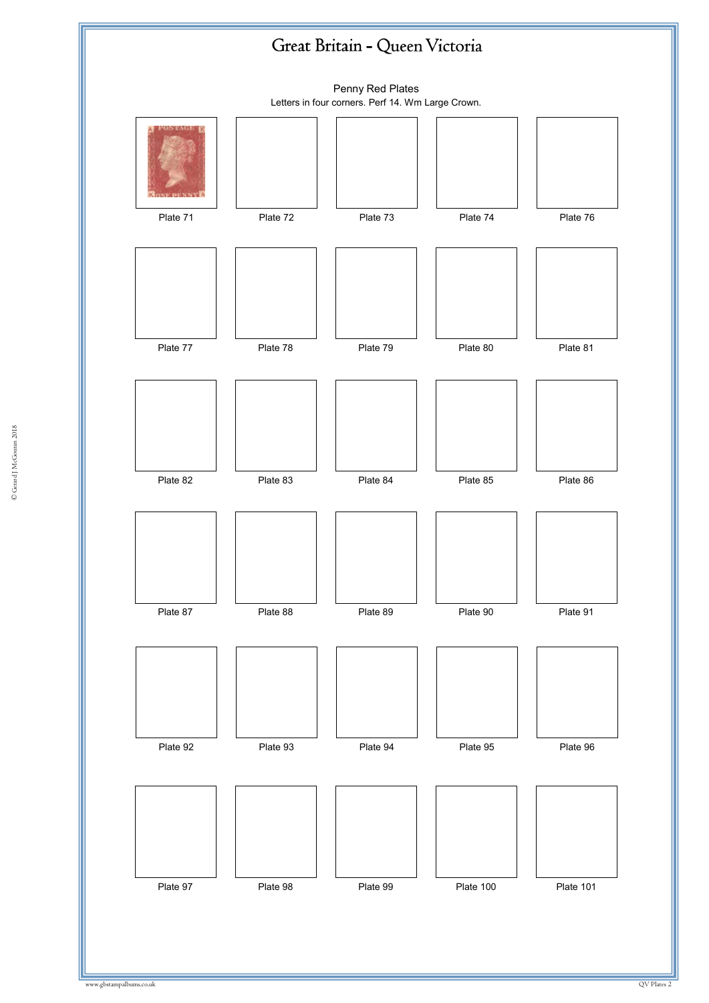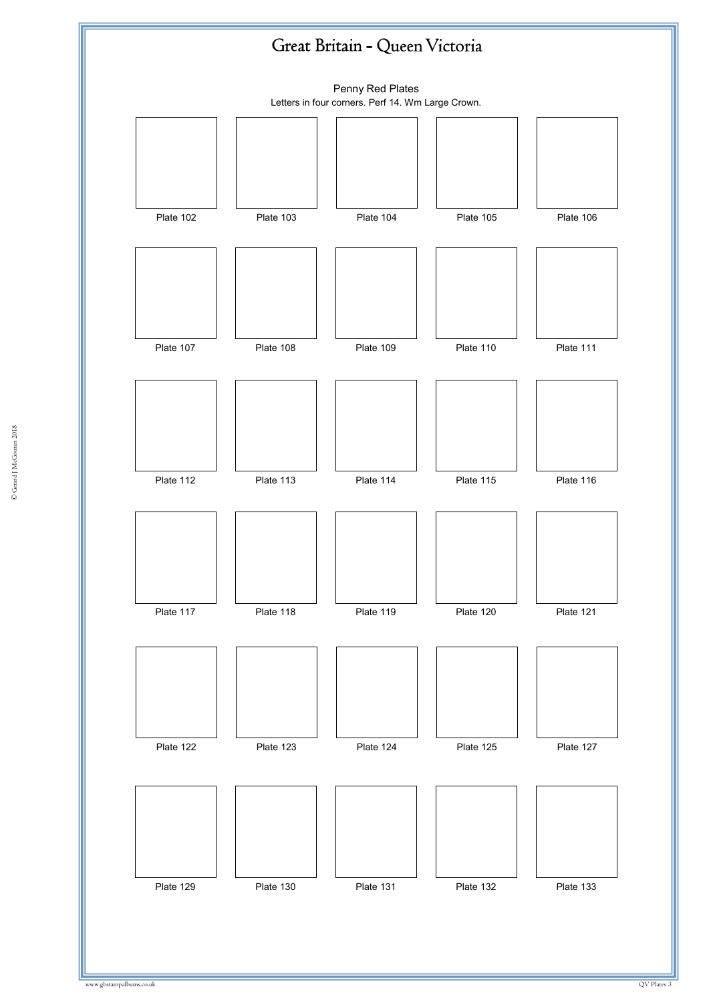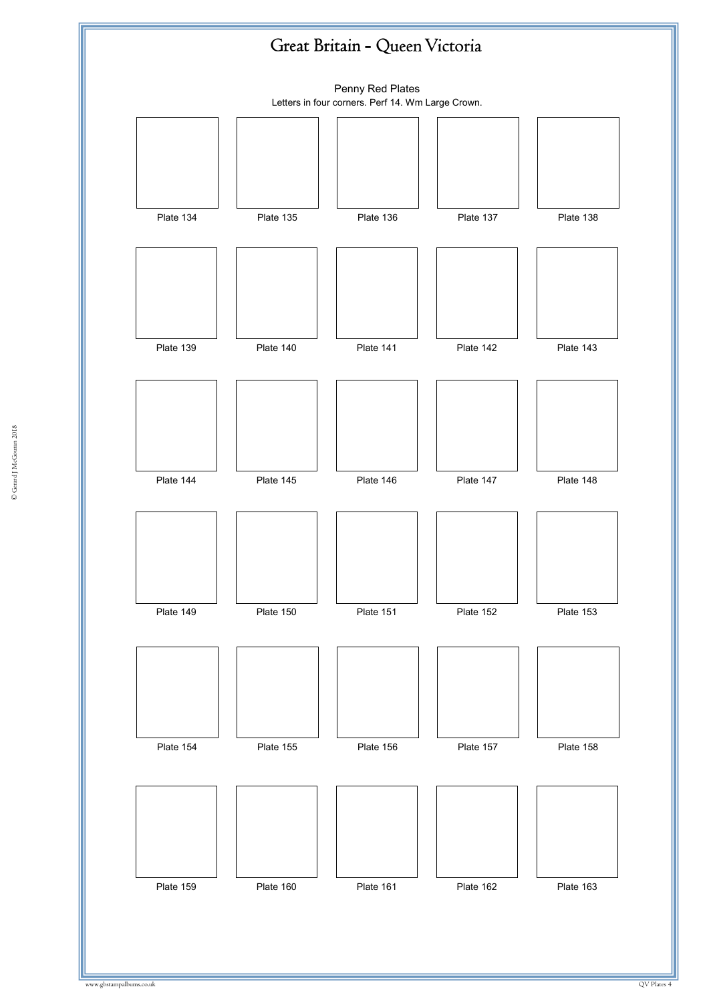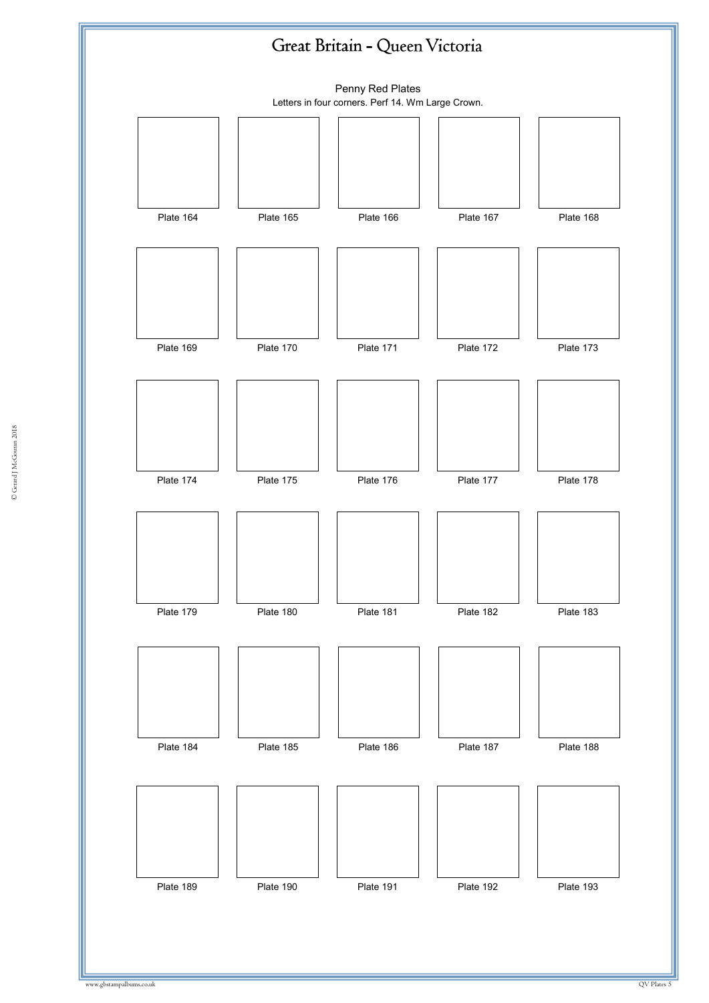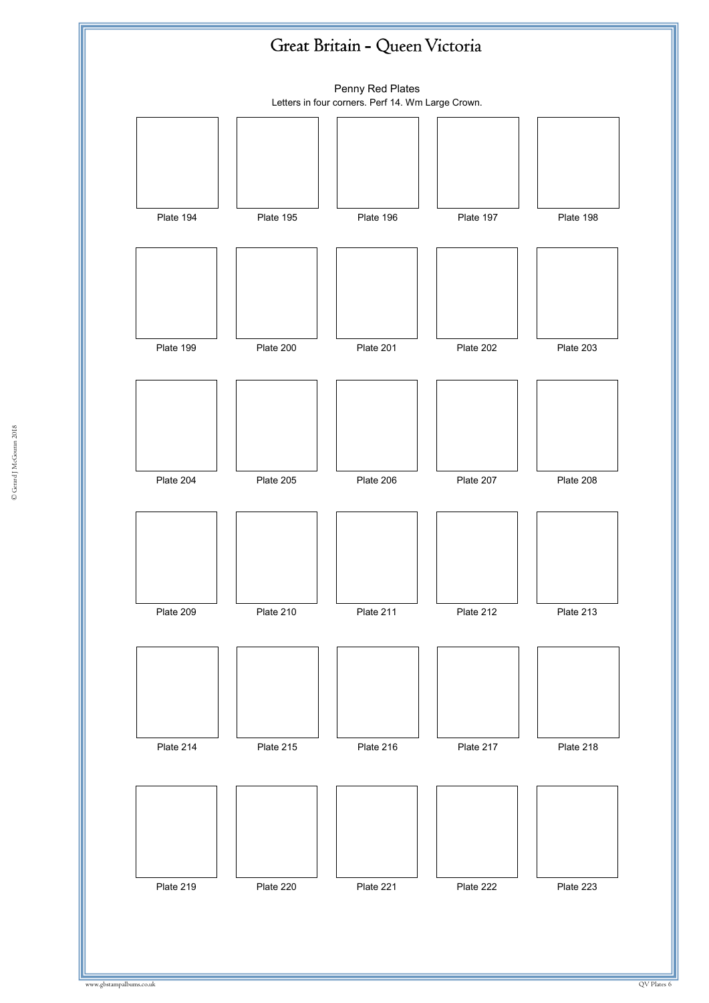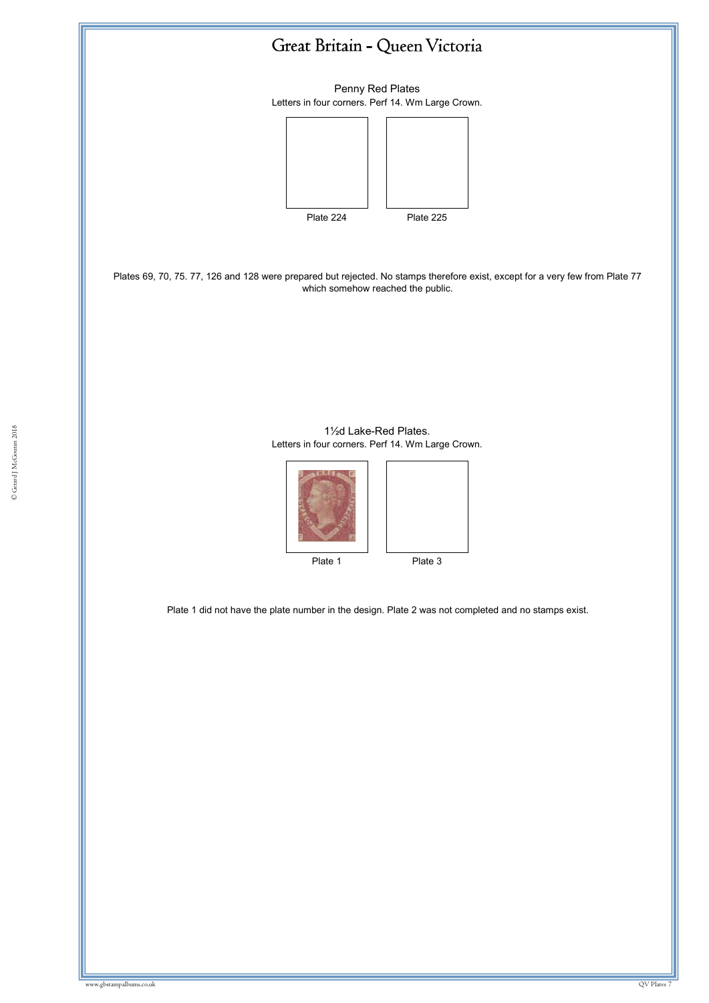Penny Red Plates Letters in four corners. Perf 14. Wm Large Crown.



Plates 69, 70, 75. 77, 126 and 128 were prepared but rejected. No stamps therefore exist, except for a very few from Plate 77 which somehow reached the public.







Plate 1 did not have the plate number in the design. Plate 2 was not completed and no stamps exist.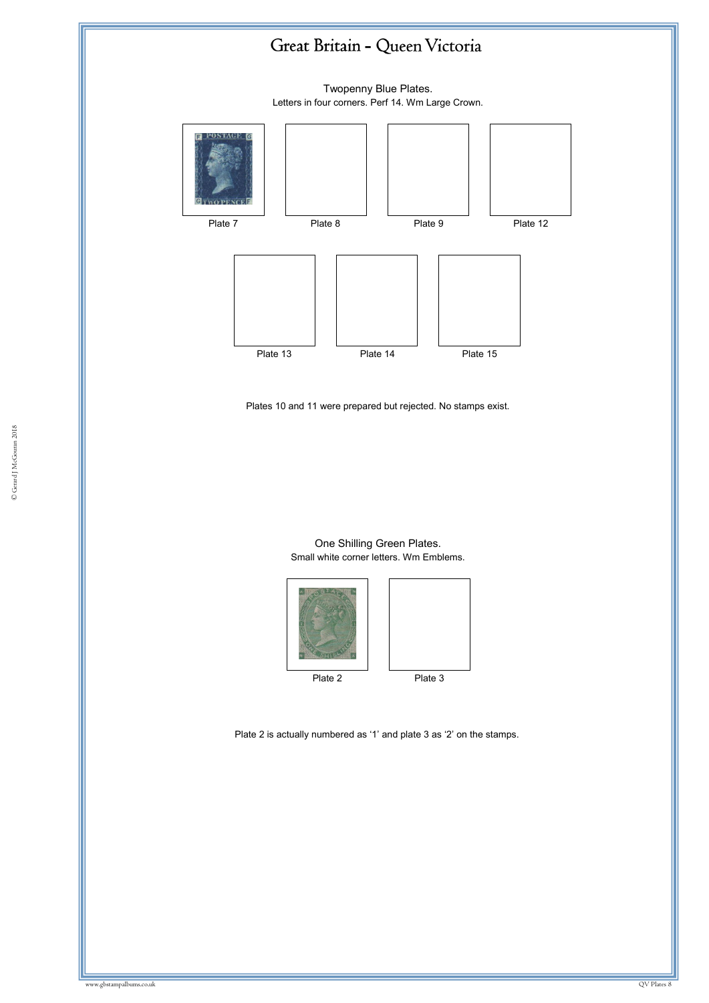

Twopenny Blue Plates. Letters in four corners. Perf 14. Wm Large Crown.



Plates 10 and 11 were prepared but rejected. No stamps exist.

One Shilling Green Plates. Small white corner letters. Wm Emblems.



Plate 2 is actually numbered as '1' and plate 3 as '2' on the stamps.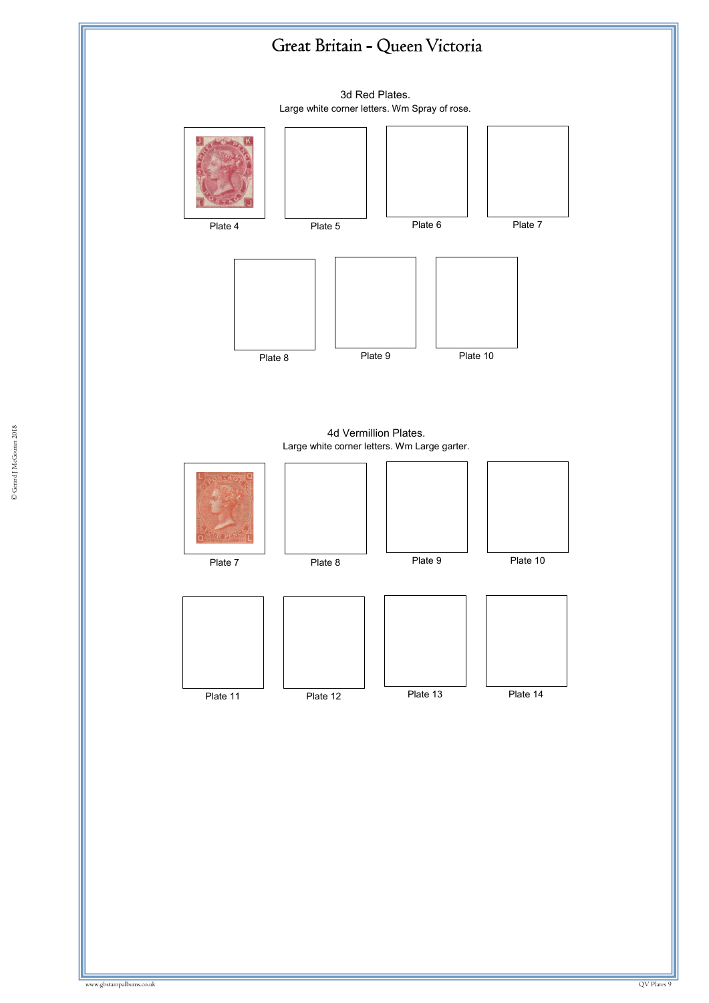

3d Red Plates. Large white corner letters. Wm Spray of rose.



4d Vermillion Plates.<br>Large white corner letters. Wm Large garter. 4d Vermillion Plates.

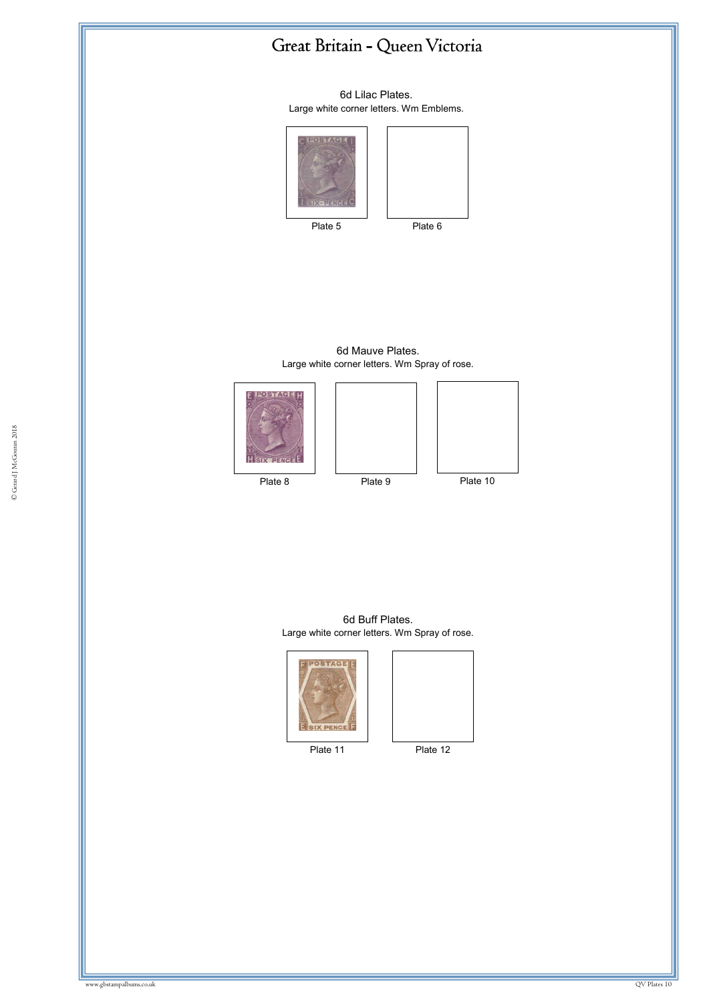6d Lilac Plates. Large white corner letters. Wm Emblems.





6d Mauve Plates. Large white corner letters. Wm Spray of rose.







6d Buff Plates. Large white corner letters. Wm Spray of rose.



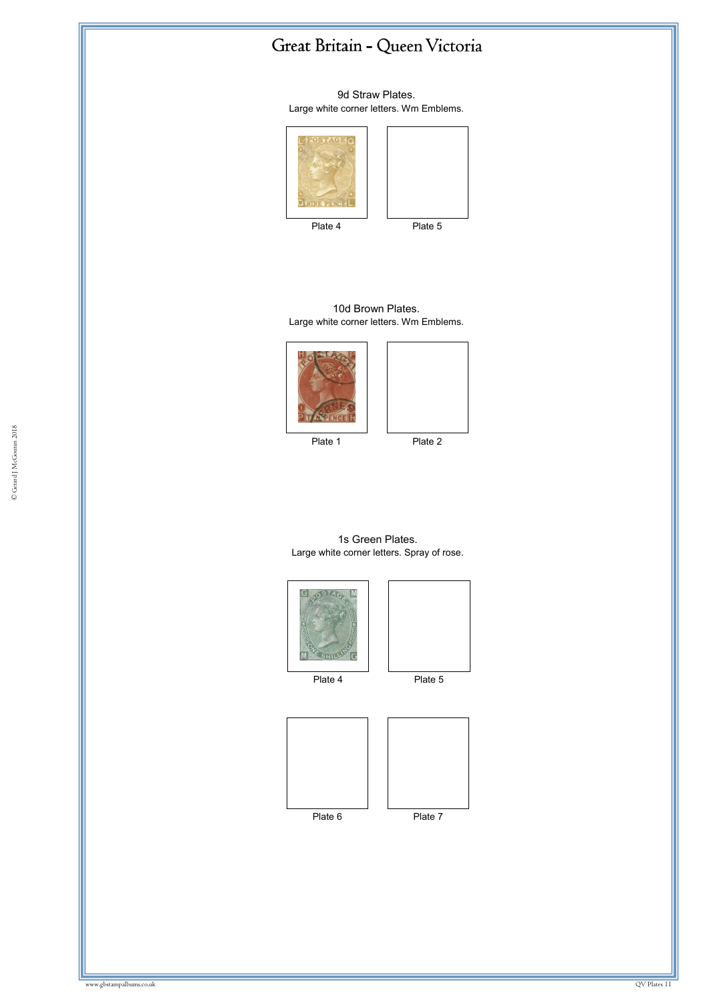9d Straw Plates. Large white corner letters. Wm Emblems.





10d Brown Plates. Large white corner letters. Wm Emblems.





1s Green Plates. Large white corner letters. Spray of rose.







Plate 6 Plate 7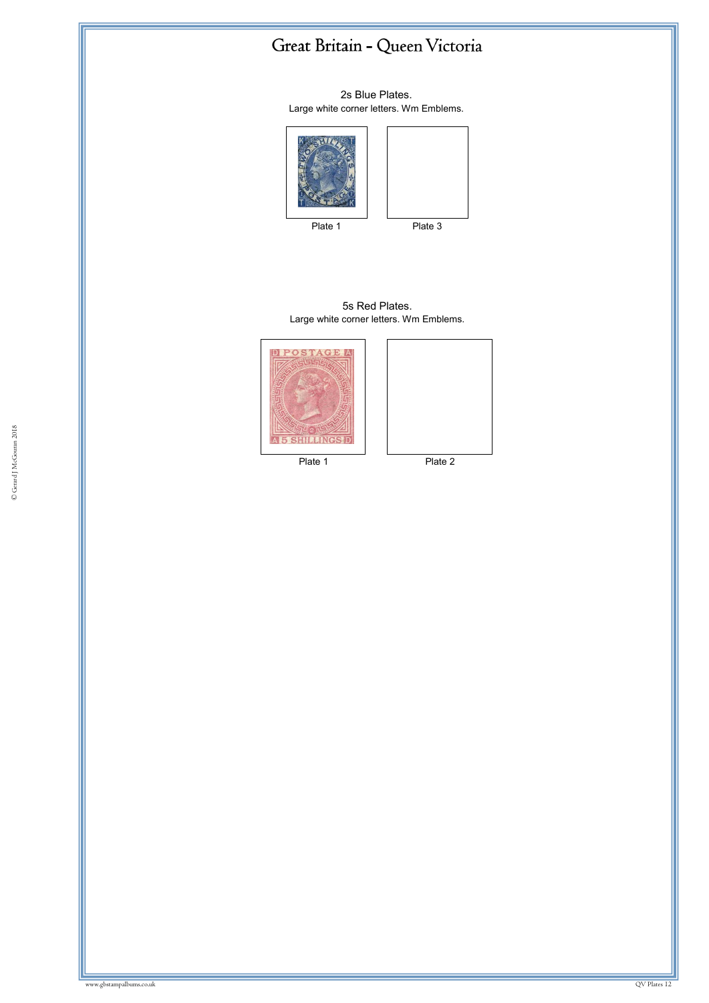2s Blue Plates. Large white corner letters. Wm Emblems.





5s Red Plates.

Large white corner letters. Wm Emblems.



Plate 1 Plate 2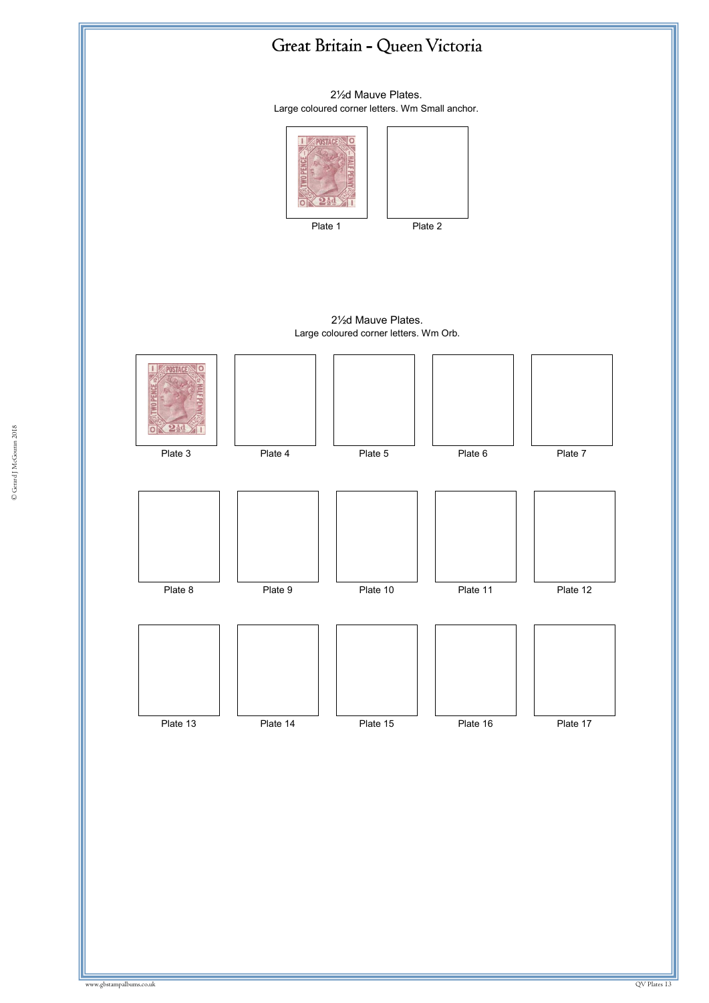2½d Mauve Plates. Large coloured corner letters. Wm Small anchor.





2½d Mauve Plates. Large coloured corner letters. Wm Orb.

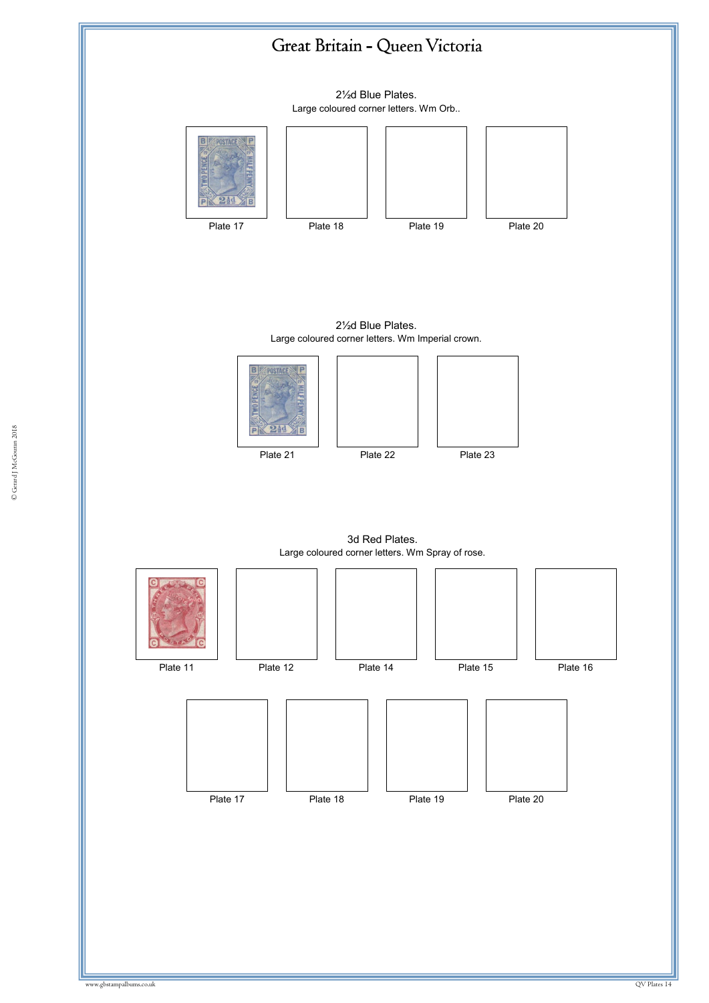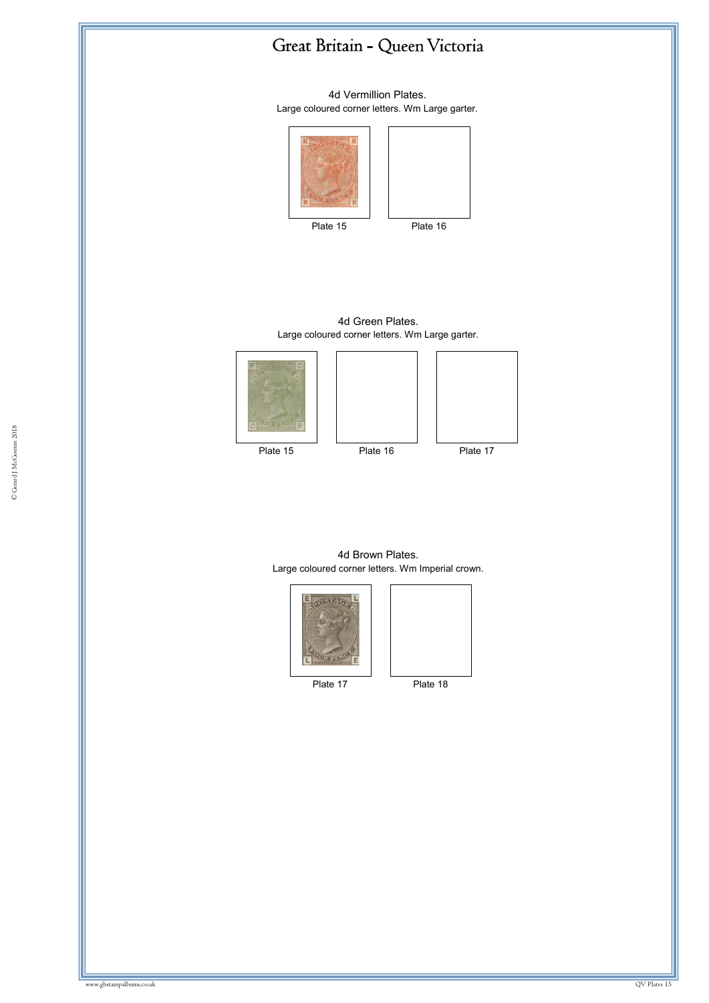4d Vermillion Plates. Large coloured corner letters. Wm Large garter.





4d Green Plates. Large coloured corner letters. Wm Large garter.









4d Brown Plates. Large coloured corner letters. Wm Imperial crown.





Plate 17 Plate 18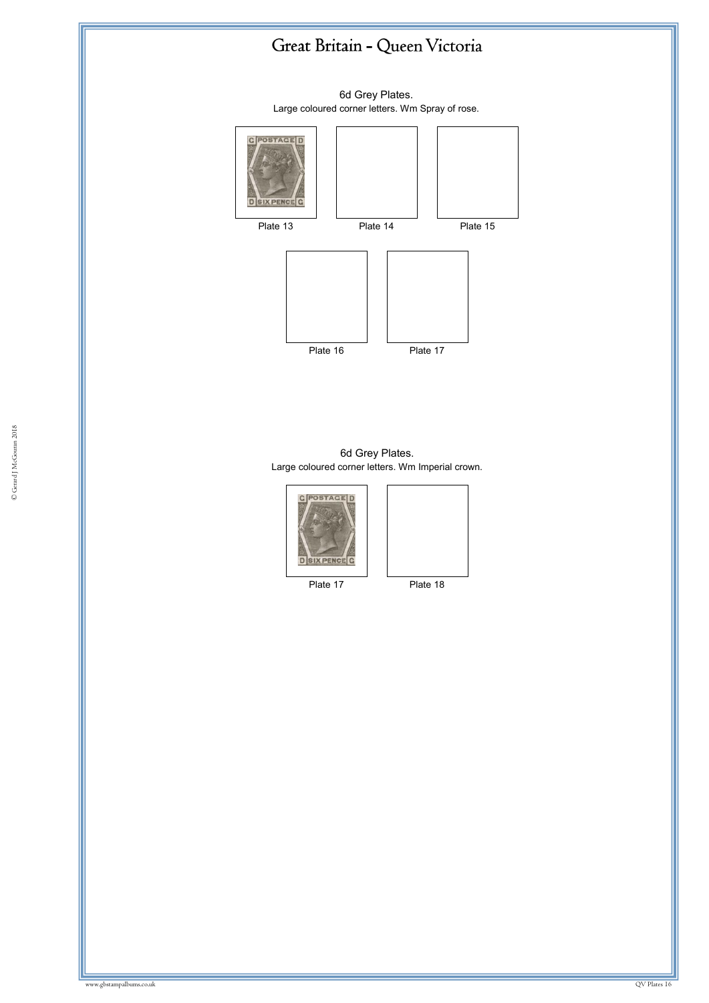6d Grey Plates. Large coloured corner letters. Wm Spray of rose.



 $\epsilon$ d Croy Plates Large coloured corner letters. Wm Imperial crown.<br>
———————————————————— 6d Grey Plates.



Plate 17 Plate 18